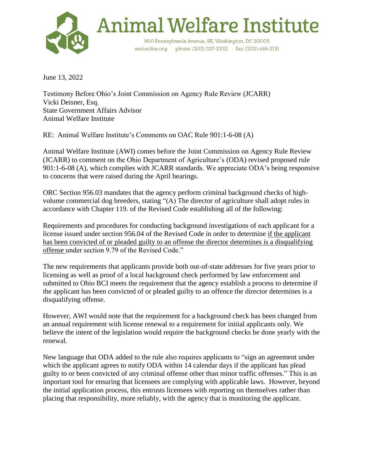

June 13, 2022

Testimony Before Ohio's Joint Commission on Agency Rule Review (JCARR) Vicki Deisner, Esq. State Government Affairs Advisor Animal Welfare Institute

RE: Animal Welfare Institute's Comments on OAC Rule 901:1-6-08 (A)

Animal Welfare Institute (AWI) comes before the Joint Commission on Agency Rule Review (JCARR) to comment on the Ohio Department of Agriculture's (ODA) revised proposed rule 901:1-6-08 (A), which complies with JCARR standards. We appreciate ODA's being responsive to concerns that were raised during the April hearings.

ORC Section 956.03 mandates that the agency perform criminal background checks of highvolume commercial dog breeders, stating "(A) The director of agriculture shall adopt rules in accordance with Chapter 119. of the Revised Code establishing all of the following:

Requirements and procedures for conducting background investigations of each applicant for a license issued under section 956.04 of the Revised Code in order to determine if the applicant has been convicted of or pleaded guilty to an offense the director determines is a disqualifying offense under section 9.79 of the Revised Code."

The new requirements that applicants provide both out-of-state addresses for five years prior to licensing as well as proof of a local background check performed by law enforcement and submitted to Ohio BCI meets the requirement that the agency establish a process to determine if the applicant has been convicted of or pleaded guilty to an offence the director determines is a disqualifying offense.

However, AWI would note that the requirement for a background check has been changed from an annual requirement with license renewal to a requirement for initial applicants only. We believe the intent of the legislation would require the background checks be done yearly with the renewal.

New language that ODA added to the rule also requires applicants to "sign an agreement under which the applicant agrees to notify ODA within 14 calendar days if the applicant has plead guilty to or been convicted of any criminal offense other than minor traffic offenses." This is an important tool for ensuring that licensees are complying with applicable laws. However, beyond the initial application process, this entrusts licensees with reporting on themselves rather than placing that responsibility, more reliably, with the agency that is monitoring the applicant.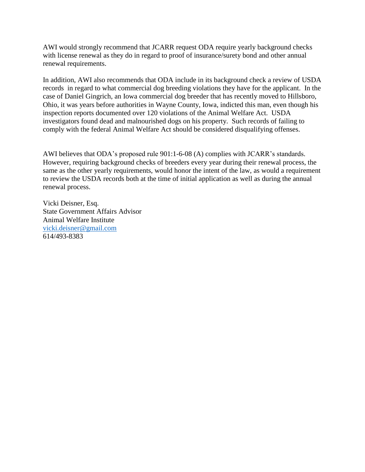AWI would strongly recommend that JCARR request ODA require yearly background checks with license renewal as they do in regard to proof of insurance/surety bond and other annual renewal requirements.

In addition, AWI also recommends that ODA include in its background check a review of USDA records in regard to what commercial dog breeding violations they have for the applicant. In the case of Daniel Gingrich, an Iowa commercial dog breeder that has recently moved to Hillsboro, Ohio, it was years before authorities in Wayne County, Iowa, indicted this man, even though his inspection reports documented over 120 violations of the Animal Welfare Act. USDA investigators found dead and malnourished dogs on his property. Such records of failing to comply with the federal Animal Welfare Act should be considered disqualifying offenses.

AWI believes that ODA's proposed rule 901:1-6-08 (A) complies with JCARR's standards. However, requiring background checks of breeders every year during their renewal process, the same as the other yearly requirements, would honor the intent of the law, as would a requirement to review the USDA records both at the time of initial application as well as during the annual renewal process.

Vicki Deisner, Esq. State Government Affairs Advisor Animal Welfare Institute [vicki.deisner@gmail.com](mailto:vicki.deisner@gmail.com) 614/493-8383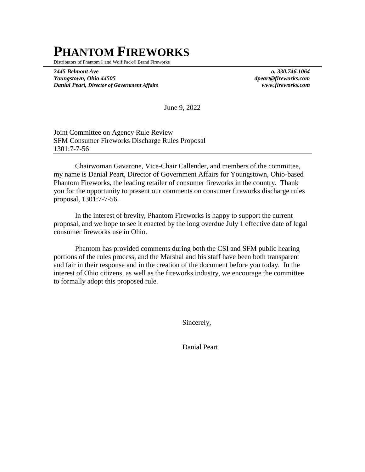## **PHANTOM FIREWORKS**

Distributors of Phantom® and Wolf Pack® Brand Fireworks

*2445 Belmont Ave o. 330.746.1064 Youngstown, Ohio 44505 dpeart@fireworks.com Danial Peart, Director of Government Affairs www.fireworks.com* 

June 9, 2022

Joint Committee on Agency Rule Review SFM Consumer Fireworks Discharge Rules Proposal 1301:7-7-56

Chairwoman Gavarone, Vice-Chair Callender, and members of the committee, my name is Danial Peart, Director of Government Affairs for Youngstown, Ohio-based Phantom Fireworks, the leading retailer of consumer fireworks in the country. Thank you for the opportunity to present our comments on consumer fireworks discharge rules proposal, 1301:7-7-56.

In the interest of brevity, Phantom Fireworks is happy to support the current proposal, and we hope to see it enacted by the long overdue July 1 effective date of legal consumer fireworks use in Ohio.

Phantom has provided comments during both the CSI and SFM public hearing portions of the rules process, and the Marshal and his staff have been both transparent and fair in their response and in the creation of the document before you today. In the interest of Ohio citizens, as well as the fireworks industry, we encourage the committee to formally adopt this proposed rule.

Sincerely,

Danial Peart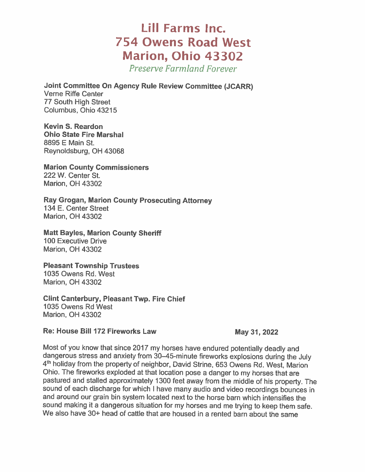## **Lill Farms Inc. 754 Owens Road West Marion, Ohio 43302**

**Preserve Farmland Forever** 

**Joint Committee On Agency Rule Review Committee (JCARR) Verne Riffe Center 77 South High Street** Columbus, Ohio 43215

**Kevin S. Reardon Ohio State Fire Marshal** 8895 E Main St. Reynoldsburg, OH 43068

**Marion County Commissioners** 222 W. Center St. **Marion, OH 43302** 

Ray Grogan, Marion County Prosecuting Attorney 134 E. Center Street **Marion, OH 43302** 

**Matt Bayles, Marion County Sheriff** 100 Executive Drive **Marion, OH 43302** 

**Pleasant Township Trustees** 1035 Owens Rd. West **Marion, OH 43302** 

**Clint Canterbury, Pleasant Twp. Fire Chief** 1035 Owens Rd West **Marion, OH 43302** 

Re: House Bill 172 Fireworks Law

May 31, 2022

Most of you know that since 2017 my horses have endured potentially deadly and dangerous stress and anxiety from 30-45-minute fireworks explosions during the July 4th holiday from the property of neighbor, David Strine, 653 Owens Rd. West, Marion Ohio. The fireworks exploded at that location pose a danger to my horses that are pastured and stalled approximately 1300 feet away from the middle of his property. The sound of each discharge for which I have many audio and video recordings bounces in and around our grain bin system located next to the horse barn which intensifies the sound making it a dangerous situation for my horses and me trying to keep them safe. We also have 30+ head of cattle that are housed in a rented barn about the same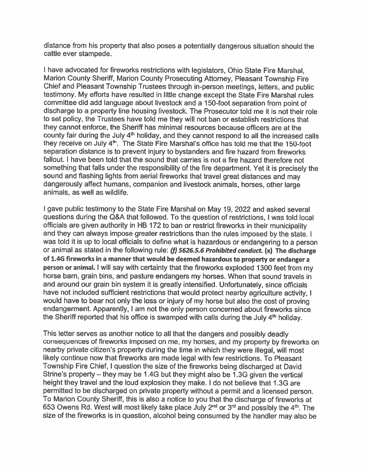distance from his property that also poses a potentially dangerous situation should the cattle ever stampede.

I have advocated for fireworks restrictions with legislators, Ohio State Fire Marshal, Marion County Sheriff, Marion County Prosecuting Attorney, Pleasant Township Fire Chief and Pleasant Township Trustees through in-person meetings, letters, and public testimony. My efforts have resulted in little change except the State Fire Marshal rules committee did add language about livestock and a 150-foot separation from point of discharge to a property line housing livestock. The Prosecutor told me it is not their role to set policy, the Trustees have told me they will not ban or establish restrictions that they cannot enforce, the Sheriff has minimal resources because officers are at the county fair during the July 4th holiday, and they cannot respond to all the increased calls they receive on July 4<sup>th</sup>. The State Fire Marshal's office has told me that the 150-foot separation distance is to prevent injury to bystanders and fire hazard from fireworks fallout. I have been told that the sound that carries is not a fire hazard therefore not something that falls under the responsibility of the fire department. Yet it is precisely the sound and flashing lights from aerial fireworks that travel great distances and may dangerously affect humans, companion and livestock animals, horses, other large animals, as well as wildlife.

I gave public testimony to the State Fire Marshal on May 19, 2022 and asked several questions during the Q&A that followed. To the question of restrictions, I was told local officials are given authority in HB 172 to ban or restrict fireworks in their municipality and they can always impose greater restrictions than the rules imposed by the state. I was told it is up to local officials to define what is hazardous or endangering to a person or animal as stated in the following rule: (f) 5626.5.6 Prohibited conduct. (x) The discharge of 1.4G fireworks in a manner that would be deemed hazardous to property or endanger a person or animal. I will say with certainty that the fireworks exploded 1300 feet from my horse barn, grain bins, and pasture endangers my horses. When that sound travels in and around our grain bin system it is greatly intensified. Unfortunately, since officials have not included sufficient restrictions that would protect nearby agriculture activity, I would have to bear not only the loss or injury of my horse but also the cost of proving endangerment. Apparently, I am not the only person concerned about fireworks since the Sheriff reported that his office is swamped with calls during the July 4th holiday.

This letter serves as another notice to all that the dangers and possibly deadly consequences of fireworks imposed on me, my horses, and my property by fireworks on nearby private citizen's property during the time in which they were illegal, will most likely continue now that fireworks are made legal with few restrictions. To Pleasant Township Fire Chief, I question the size of the fireworks being discharged at David Strine's property - they may be 1.4G but they might also be 1.3G given the vertical height they travel and the loud explosion they make. I do not believe that 1.3G are permitted to be discharged on private property without a permit and a licensed person. To Marion County Sheriff, this is also a notice to you that the discharge of fireworks at 653 Owens Rd. West will most likely take place July 2<sup>nd</sup> or 3<sup>rd</sup> and possibly the 4<sup>th</sup>. The size of the fireworks is in question, alcohol being consumed by the handler may also be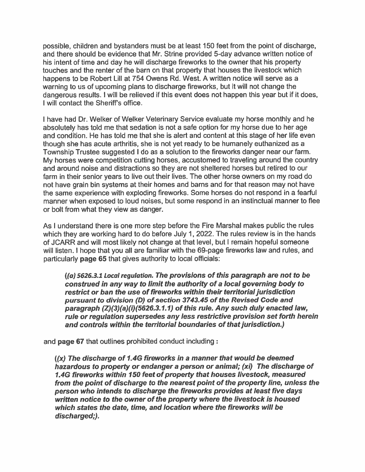possible, children and bystanders must be at least 150 feet from the point of discharge, and there should be evidence that Mr. Strine provided 5-day advance written notice of his intent of time and day he will discharge fireworks to the owner that his property touches and the renter of the barn on that property that houses the livestock which happens to be Robert Lill at 754 Owens Rd. West. A written notice will serve as a warning to us of upcoming plans to discharge fireworks, but it will not change the dangerous results. I will be relieved if this event does not happen this year but if it does, I will contact the Sheriff's office.

I have had Dr. Welker of Welker Veterinary Service evaluate my horse monthly and he absolutely has told me that sedation is not a safe option for my horse due to her age and condition. He has told me that she is alert and content at this stage of her life even though she has acute arthritis, she is not yet ready to be humanely euthanized as a Township Trustee suggested I do as a solution to the fireworks danger near our farm. My horses were competition cutting horses, accustomed to traveling around the country and around noise and distractions so they are not sheltered horses but retired to our farm in their senior years to live out their lives. The other horse owners on my road do not have grain bin systems at their homes and barns and for that reason may not have the same experience with exploding fireworks. Some horses do not respond in a fearful manner when exposed to loud noises, but some respond in an instinctual manner to flee or bolt from what they view as danger.

As I understand there is one more step before the Fire Marshal makes public the rules which they are working hard to do before July 1, 2022. The rules review is in the hands of JCARR and will most likely not change at that level, but I remain hopeful someone will listen. I hope that you all are familiar with the 69-page fireworks law and rules, and particularly page 65 that gives authority to local officials:

((a) 5626.3.1 Local regulation. The provisions of this paragraph are not to be construed in any way to limit the authority of a local governing body to restrict or ban the use of fireworks within their territorial jurisdiction pursuant to division (D) of section 3743.45 of the Revised Code and paragraph (Z)(3)(a)(i)(5626.3.1.1) of this rule. Any such duly enacted law, rule or regulation supersedes any less restrictive provision set forth herein and controls within the territorial boundaries of that jurisdiction.)

and page 67 that outlines prohibited conduct including:

 $(x)$  The discharge of 1.4G fireworks in a manner that would be deemed hazardous to property or endanger a person or animal; (xi) The discharge of 1.4G fireworks within 150 feet of property that houses livestock, measured from the point of discharge to the nearest point of the property line, unless the person who intends to discharge the fireworks provides at least five days written notice to the owner of the property where the livestock is housed which states the date, time, and location where the fireworks will be discharged;).